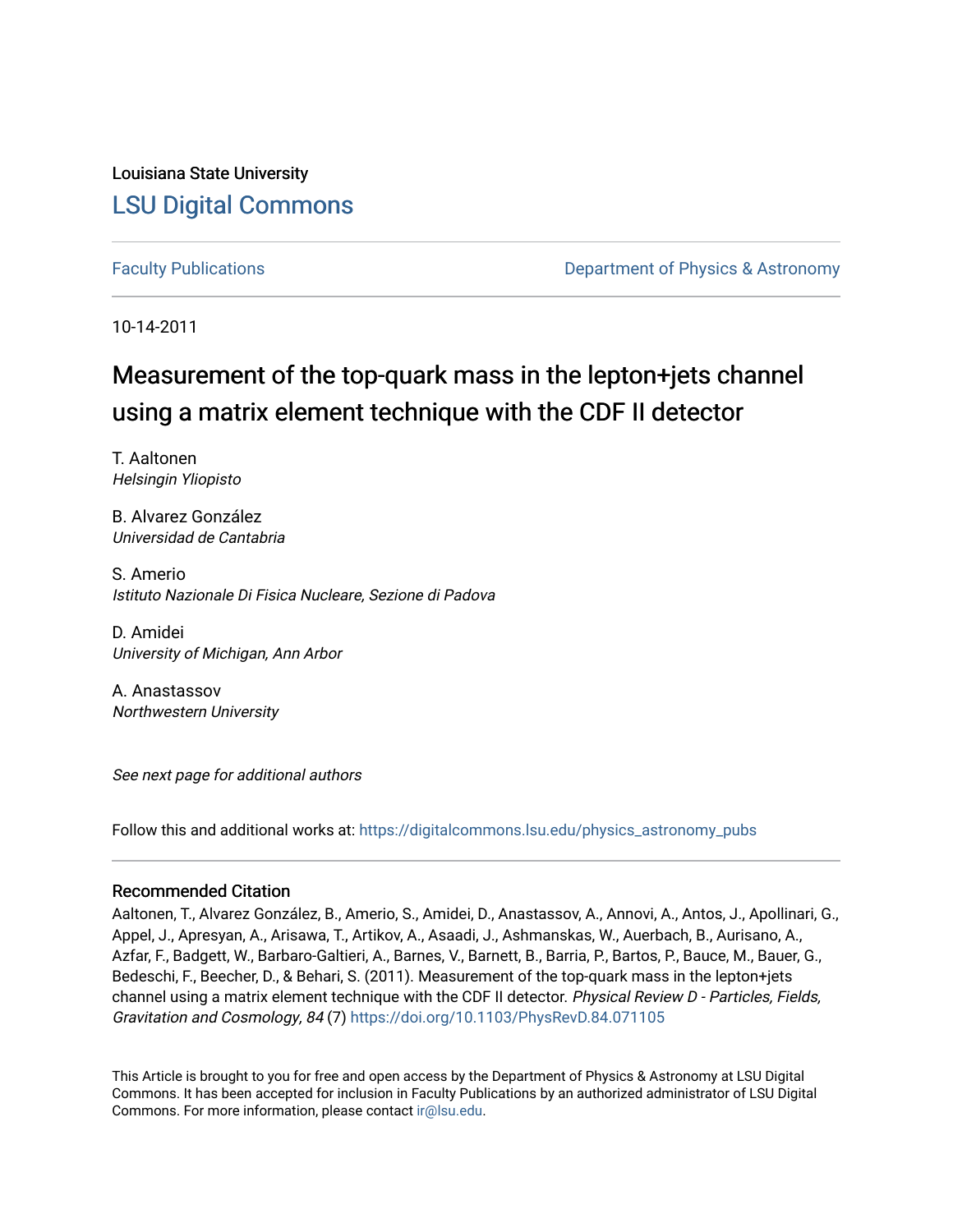Louisiana State University [LSU Digital Commons](https://digitalcommons.lsu.edu/)

[Faculty Publications](https://digitalcommons.lsu.edu/physics_astronomy_pubs) **Example 2** Constant Department of Physics & Astronomy

10-14-2011

## Measurement of the top-quark mass in the lepton+jets channel using a matrix element technique with the CDF II detector

T. Aaltonen Helsingin Yliopisto

B. Alvarez González Universidad de Cantabria

S. Amerio Istituto Nazionale Di Fisica Nucleare, Sezione di Padova

D. Amidei University of Michigan, Ann Arbor

A. Anastassov Northwestern University

See next page for additional authors

Follow this and additional works at: [https://digitalcommons.lsu.edu/physics\\_astronomy\\_pubs](https://digitalcommons.lsu.edu/physics_astronomy_pubs?utm_source=digitalcommons.lsu.edu%2Fphysics_astronomy_pubs%2F2342&utm_medium=PDF&utm_campaign=PDFCoverPages) 

### Recommended Citation

Aaltonen, T., Alvarez González, B., Amerio, S., Amidei, D., Anastassov, A., Annovi, A., Antos, J., Apollinari, G., Appel, J., Apresyan, A., Arisawa, T., Artikov, A., Asaadi, J., Ashmanskas, W., Auerbach, B., Aurisano, A., Azfar, F., Badgett, W., Barbaro-Galtieri, A., Barnes, V., Barnett, B., Barria, P., Bartos, P., Bauce, M., Bauer, G., Bedeschi, F., Beecher, D., & Behari, S. (2011). Measurement of the top-quark mass in the lepton+jets channel using a matrix element technique with the CDF II detector. Physical Review D - Particles, Fields, Gravitation and Cosmology, 84 (7)<https://doi.org/10.1103/PhysRevD.84.071105>

This Article is brought to you for free and open access by the Department of Physics & Astronomy at LSU Digital Commons. It has been accepted for inclusion in Faculty Publications by an authorized administrator of LSU Digital Commons. For more information, please contact [ir@lsu.edu](mailto:ir@lsu.edu).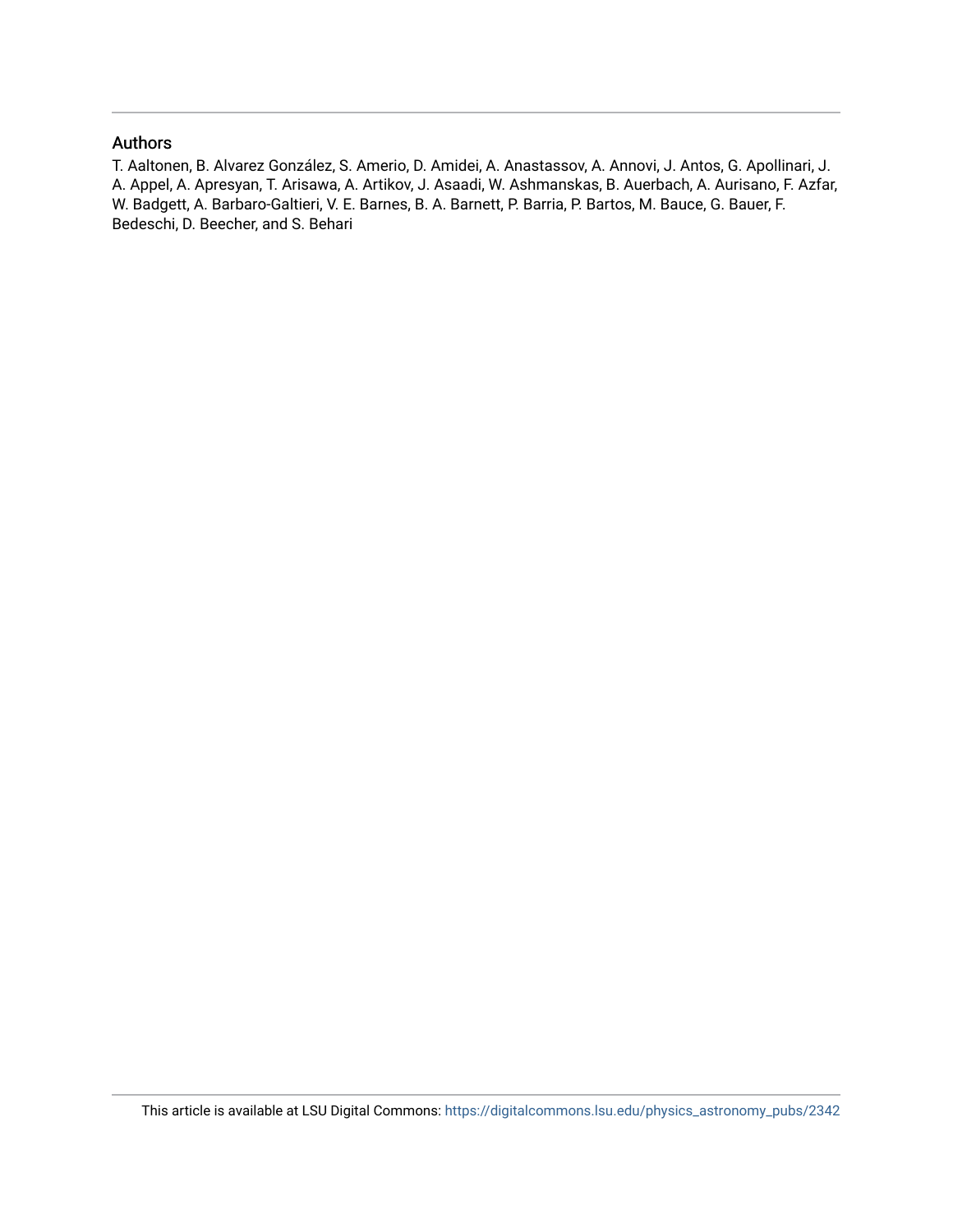### Authors

T. Aaltonen, B. Alvarez González, S. Amerio, D. Amidei, A. Anastassov, A. Annovi, J. Antos, G. Apollinari, J. A. Appel, A. Apresyan, T. Arisawa, A. Artikov, J. Asaadi, W. Ashmanskas, B. Auerbach, A. Aurisano, F. Azfar, W. Badgett, A. Barbaro-Galtieri, V. E. Barnes, B. A. Barnett, P. Barria, P. Bartos, M. Bauce, G. Bauer, F. Bedeschi, D. Beecher, and S. Behari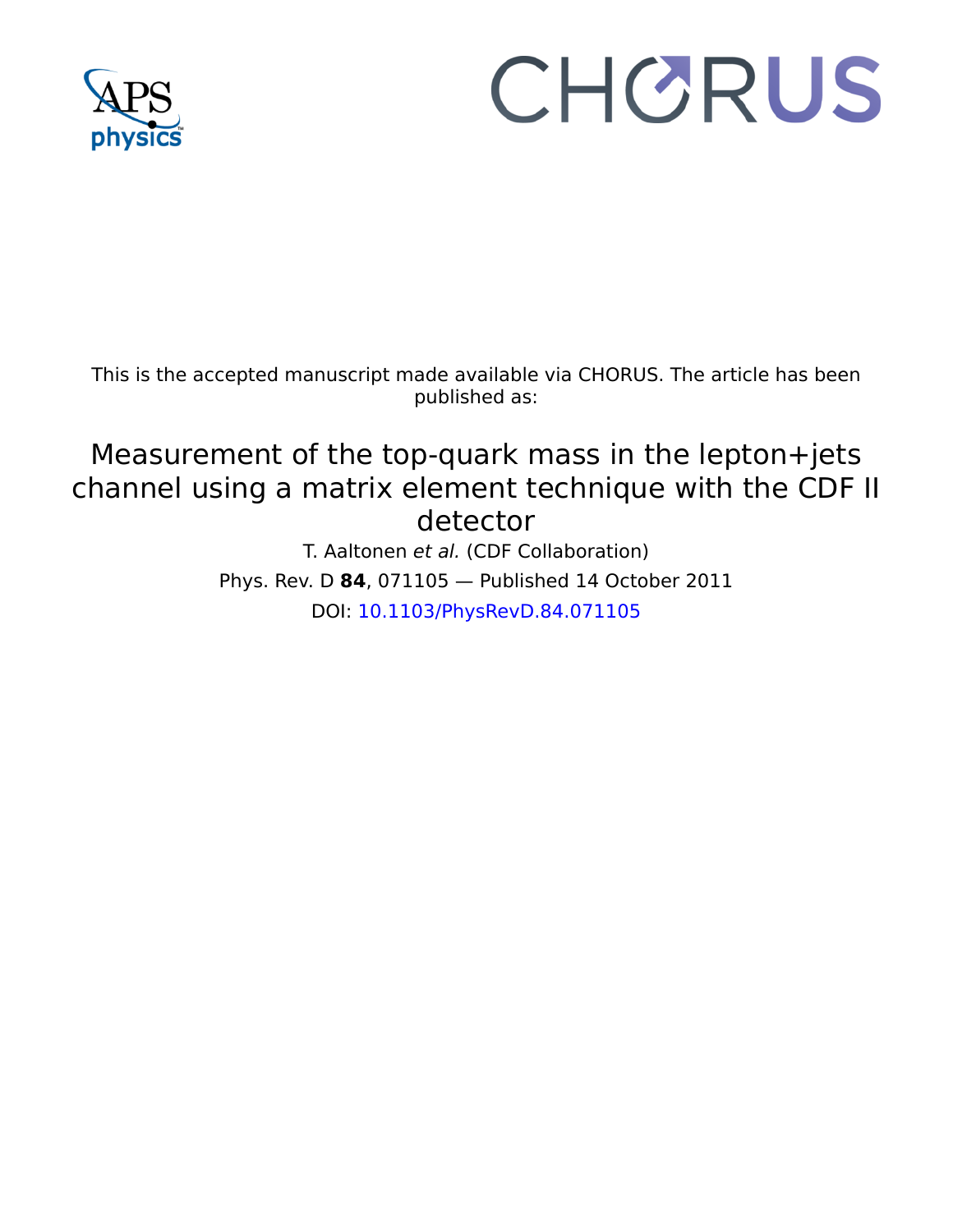

# CHORUS

This is the accepted manuscript made available via CHORUS. The article has been published as:

## Measurement of the top-quark mass in the lepton+jets channel using a matrix element technique with the CDF II detector

T. Aaltonen et al. (CDF Collaboration) Phys. Rev. D **84**, 071105 — Published 14 October 2011 DOI: [10.1103/PhysRevD.84.071105](http://dx.doi.org/10.1103/PhysRevD.84.071105)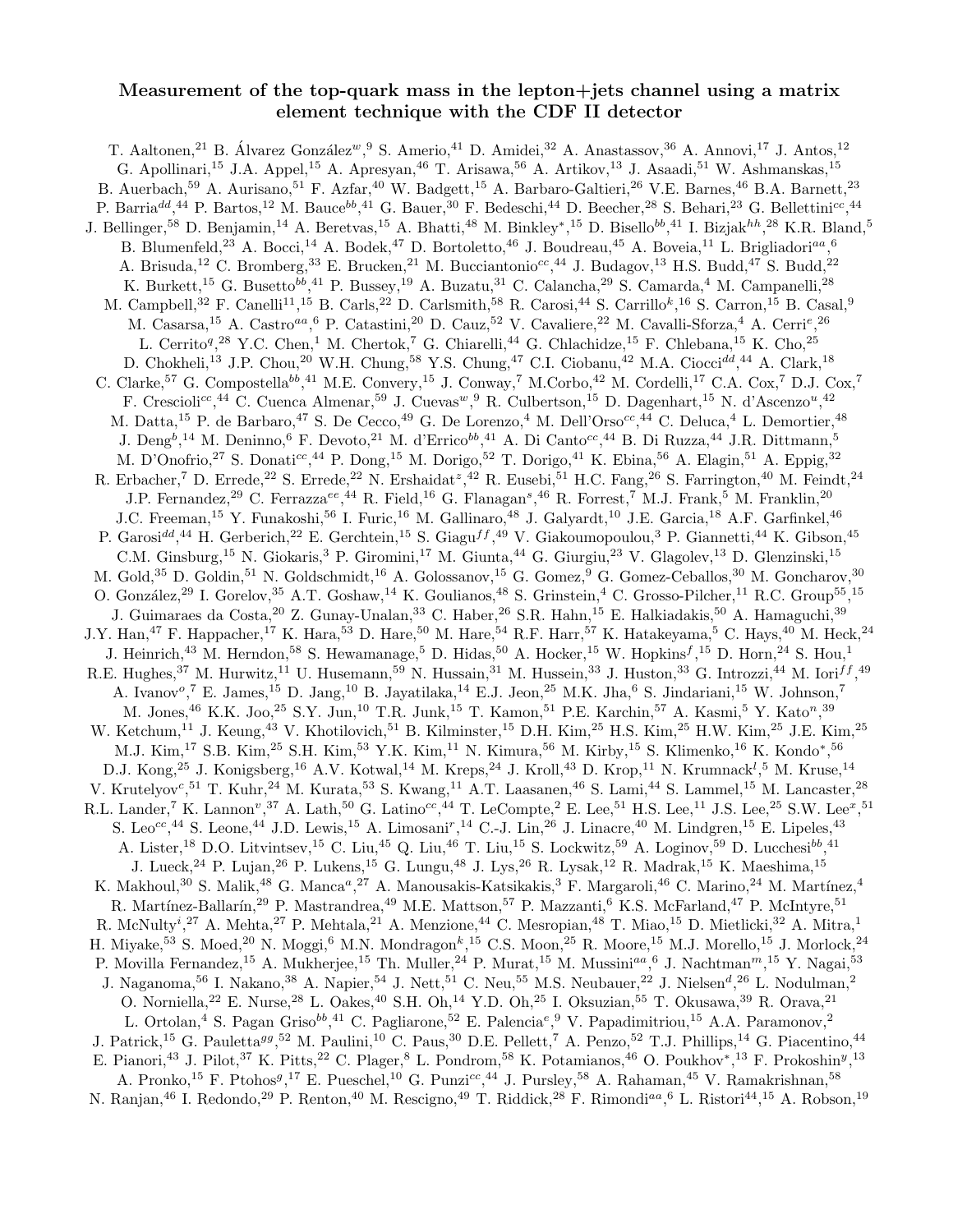### Measurement of the top-quark mass in the lepton+jets channel using a matrix element technique with the CDF II detector

T. Aaltonen,<sup>21</sup> B. Álvarez González<sup>w</sup>,<sup>9</sup> S. Amerio,<sup>41</sup> D. Amidei,<sup>32</sup> A. Anastassov,<sup>36</sup> A. Annovi,<sup>17</sup> J. Antos,<sup>12</sup> G. Apollinari,<sup>15</sup> J.A. Appel,<sup>15</sup> A. Apresyan,<sup>46</sup> T. Arisawa,<sup>56</sup> A. Artikov,<sup>13</sup> J. Asaadi,<sup>51</sup> W. Ashmanskas,<sup>15</sup> B. Auerbach,<sup>59</sup> A. Aurisano,<sup>51</sup> F. Azfar,<sup>40</sup> W. Badgett,<sup>15</sup> A. Barbaro-Galtieri,<sup>26</sup> V.E. Barnes,<sup>46</sup> B.A. Barnett,<sup>23</sup> P. Barria<sup>dd</sup>,<sup>44</sup> P. Bartos,<sup>12</sup> M. Bauce<sup>bb</sup>,<sup>41</sup> G. Bauer,<sup>30</sup> F. Bedeschi,<sup>44</sup> D. Beecher,<sup>28</sup> S. Behari,<sup>23</sup> G. Bellettini<sup>cc</sup>,<sup>44</sup> J. Bellinger,<sup>58</sup> D. Benjamin,<sup>14</sup> A. Beretvas,<sup>15</sup> A. Bhatti,<sup>48</sup> M. Binkley\*,<sup>15</sup> D. Bisello<sup>bb</sup>,<sup>41</sup> I. Bizjak<sup>hh</sup>,<sup>28</sup> K.R. Bland,<sup>5</sup> B. Blumenfeld,<sup>23</sup> A. Bocci,<sup>14</sup> A. Bodek,<sup>47</sup> D. Bortoletto,<sup>46</sup> J. Boudreau,<sup>45</sup> A. Boveia,<sup>11</sup> L. Brigliadori<sup>aa</sup>,<sup>6</sup> A. Brisuda,<sup>12</sup> C. Bromberg,<sup>33</sup> E. Brucken,<sup>21</sup> M. Bucciantonio<sup>cc</sup>,<sup>44</sup> J. Budagov,<sup>13</sup> H.S. Budd,<sup>47</sup> S. Budd,<sup>22</sup> K. Burkett, <sup>15</sup> G. Busetto<sup>bb</sup>, <sup>41</sup> P. Bussey, <sup>19</sup> A. Buzatu, <sup>31</sup> C. Calancha, <sup>29</sup> S. Camarda, <sup>4</sup> M. Campanelli, <sup>28</sup> M. Campbell,<sup>32</sup> F. Canelli<sup>11</sup>,<sup>15</sup> B. Carls,<sup>22</sup> D. Carlsmith,<sup>58</sup> R. Carosi,<sup>44</sup> S. Carrillo<sup>k</sup>,<sup>16</sup> S. Carron,<sup>15</sup> B. Casal,<sup>9</sup> M. Casarsa,<sup>15</sup> A. Castro<sup>aa</sup>, <sup>6</sup> P. Catastini,<sup>20</sup> D. Cauz,<sup>52</sup> V. Cavaliere,<sup>22</sup> M. Cavalli-Sforza,<sup>4</sup> A. Cerri<sup>e</sup>,<sup>26</sup> L. Cerrito<sup>q</sup>,<sup>28</sup> Y.C. Chen,<sup>1</sup> M. Chertok,<sup>7</sup> G. Chiarelli,<sup>44</sup> G. Chlachidze,<sup>15</sup> F. Chlebana,<sup>15</sup> K. Cho,<sup>25</sup> D. Chokheli,<sup>13</sup> J.P. Chou,<sup>20</sup> W.H. Chung,<sup>58</sup> Y.S. Chung,<sup>47</sup> C.I. Ciobanu,<sup>42</sup> M.A. Ciocci<sup>dd</sup>,<sup>44</sup> A. Clark,<sup>18</sup> C. Clarke,<sup>57</sup> G. Compostella<sup>bb</sup>,<sup>41</sup> M.E. Convery,<sup>15</sup> J. Conway,<sup>7</sup> M.Corbo,<sup>42</sup> M. Cordelli,<sup>17</sup> C.A. Cox,<sup>7</sup> D.J. Cox,<sup>7</sup> F. Crescioli<sup>cc</sup>,<sup>44</sup> C. Cuenca Almenar,<sup>59</sup> J. Cuevas<sup>w</sup>, <sup>9</sup> R. Culbertson,<sup>15</sup> D. Dagenhart,<sup>15</sup> N. d'Ascenzo<sup>u</sup>,<sup>42</sup> M. Datta,<sup>15</sup> P. de Barbaro,<sup>47</sup> S. De Cecco,<sup>49</sup> G. De Lorenzo,<sup>4</sup> M. Dell'Orso<sup>cc</sup>,<sup>44</sup> C. Deluca,<sup>4</sup> L. Demortier,<sup>48</sup> J. Deng<sup>b</sup>,<sup>14</sup> M. Deninno,<sup>6</sup> F. Devoto,<sup>21</sup> M. d'Errico<sup>bb</sup>,<sup>41</sup> A. Di Canto<sup>cc</sup>,<sup>44</sup> B. Di Ruzza,<sup>44</sup> J.R. Dittmann,<sup>5</sup> M. D'Onofrio,<sup>27</sup> S. Donati<sup>cc</sup>,<sup>44</sup> P. Dong,<sup>15</sup> M. Dorigo,<sup>52</sup> T. Dorigo,<sup>41</sup> K. Ebina,<sup>56</sup> A. Elagin,<sup>51</sup> A. Eppig,<sup>32</sup> R. Erbacher,<sup>7</sup> D. Errede,<sup>22</sup> S. Errede,<sup>22</sup> N. Ershaidat<sup>z</sup>,<sup>42</sup> R. Eusebi,<sup>51</sup> H.C. Fang,<sup>26</sup> S. Farrington,<sup>40</sup> M. Feindt,<sup>24</sup> J.P. Fernandez,<sup>29</sup> C. Ferrazza<sup>ee</sup>,<sup>44</sup> R. Field,<sup>16</sup> G. Flanagan<sup>s</sup>,<sup>46</sup> R. Forrest,<sup>7</sup> M.J. Frank,<sup>5</sup> M. Franklin,<sup>20</sup> J.C. Freeman,<sup>15</sup> Y. Funakoshi,<sup>56</sup> I. Furic,<sup>16</sup> M. Gallinaro,<sup>48</sup> J. Galyardt,<sup>10</sup> J.E. Garcia,<sup>18</sup> A.F. Garfinkel,<sup>46</sup> P. Garosi<sup>dd</sup>,<sup>44</sup> H. Gerberich,<sup>22</sup> E. Gerchtein,<sup>15</sup> S. Giagu<sup>ff</sup>,<sup>49</sup> V. Giakoumopoulou,<sup>3</sup> P. Giannetti,<sup>44</sup> K. Gibson,<sup>45</sup> C.M. Ginsburg,<sup>15</sup> N. Giokaris,<sup>3</sup> P. Giromini,<sup>17</sup> M. Giunta,<sup>44</sup> G. Giurgiu,<sup>23</sup> V. Glagolev,<sup>13</sup> D. Glenzinski,<sup>15</sup> M. Gold,<sup>35</sup> D. Goldin,<sup>51</sup> N. Goldschmidt,<sup>16</sup> A. Golossanov,<sup>15</sup> G. Gomez,<sup>9</sup> G. Gomez-Ceballos,<sup>30</sup> M. Goncharov,<sup>30</sup> O. González,<sup>29</sup> I. Gorelov,<sup>35</sup> A.T. Goshaw,<sup>14</sup> K. Goulianos,<sup>48</sup> S. Grinstein,<sup>4</sup> C. Grosso-Pilcher,<sup>11</sup> R.C. Group<sup>55</sup>,<sup>15</sup> J. Guimaraes da Costa, <sup>20</sup> Z. Gunay-Unalan, <sup>33</sup> C. Haber, <sup>26</sup> S.R. Hahn, <sup>15</sup> E. Halkiadakis, <sup>50</sup> A. Hamaguchi, <sup>39</sup> J.Y. Han,<sup>47</sup> F. Happacher,<sup>17</sup> K. Hara,<sup>53</sup> D. Hare,<sup>50</sup> M. Hare,<sup>54</sup> R.F. Harr,<sup>57</sup> K. Hatakeyama,<sup>5</sup> C. Hays,<sup>40</sup> M. Heck,<sup>24</sup> J. Heinrich,<sup>43</sup> M. Herndon,<sup>58</sup> S. Hewamanage,<sup>5</sup> D. Hidas,<sup>50</sup> A. Hocker,<sup>15</sup> W. Hopkins<sup>f</sup>,<sup>15</sup> D. Horn,<sup>24</sup> S. Hou,<sup>1</sup> R.E. Hughes,<sup>37</sup> M. Hurwitz,<sup>11</sup> U. Husemann,<sup>59</sup> N. Hussain,<sup>31</sup> M. Hussein,<sup>33</sup> J. Huston,<sup>33</sup> G. Introzzi,<sup>44</sup> M. Iori<sup>ff</sup>,<sup>49</sup> A. Ivanov<sup>o</sup>,<sup>7</sup> E. James,<sup>15</sup> D. Jang,<sup>10</sup> B. Jayatilaka,<sup>14</sup> E.J. Jeon,<sup>25</sup> M.K. Jha,<sup>6</sup> S. Jindariani,<sup>15</sup> W. Johnson,<sup>7</sup> M. Jones, <sup>46</sup> K.K. Joo, <sup>25</sup> S.Y. Jun, <sup>10</sup> T.R. Junk, <sup>15</sup> T. Kamon, <sup>51</sup> P.E. Karchin, <sup>57</sup> A. Kasmi, <sup>5</sup> Y. Kato<sup>n</sup>, <sup>39</sup> W. Ketchum,<sup>11</sup> J. Keung,<sup>43</sup> V. Khotilovich,<sup>51</sup> B. Kilminster,<sup>15</sup> D.H. Kim,<sup>25</sup> H.S. Kim,<sup>25</sup> H.W. Kim,<sup>25</sup> J.E. Kim,<sup>25</sup> M.J. Kim,<sup>17</sup> S.B. Kim,<sup>25</sup> S.H. Kim,<sup>53</sup> Y.K. Kim,<sup>11</sup> N. Kimura,<sup>56</sup> M. Kirby,<sup>15</sup> S. Klimenko,<sup>16</sup> K. Kondo\*,<sup>56</sup> D.J. Kong,<sup>25</sup> J. Konigsberg,<sup>16</sup> A.V. Kotwal,<sup>14</sup> M. Kreps,<sup>24</sup> J. Kroll,<sup>43</sup> D. Krop,<sup>11</sup> N. Krumnack<sup>l</sup>,<sup>5</sup> M. Kruse,<sup>14</sup> V. Krutelyov<sup>c</sup>,<sup>51</sup> T. Kuhr,<sup>24</sup> M. Kurata,<sup>53</sup> S. Kwang,<sup>11</sup> A.T. Laasanen,<sup>46</sup> S. Lami,<sup>44</sup> S. Lammel,<sup>15</sup> M. Lancaster,<sup>28</sup> R.L. Lander,<sup>7</sup> K. Lannon<sup>v</sup>,<sup>37</sup> A. Lath,<sup>50</sup> G. Latino<sup>cc</sup>,<sup>44</sup> T. LeCompte,<sup>2</sup> E. Lee,<sup>51</sup> H.S. Lee,<sup>11</sup> J.S. Lee,<sup>25</sup> S.W. Lee<sup>x</sup>,<sup>51</sup> S. Leo<sup>cc</sup>,<sup>44</sup> S. Leone,<sup>44</sup> J.D. Lewis,<sup>15</sup> A. Limosani<sup>r</sup>,<sup>14</sup> C.-J. Lin,<sup>26</sup> J. Linacre,<sup>40</sup> M. Lindgren,<sup>15</sup> E. Lipeles,<sup>43</sup> A. Lister,<sup>18</sup> D.O. Litvintsev,<sup>15</sup> C. Liu,<sup>45</sup> Q. Liu,<sup>46</sup> T. Liu,<sup>15</sup> S. Lockwitz,<sup>59</sup> A. Loginov,<sup>59</sup> D. Lucchesi<sup>bb</sup>,<sup>41</sup> J. Lueck,<sup>24</sup> P. Lujan,<sup>26</sup> P. Lukens,<sup>15</sup> G. Lungu,<sup>48</sup> J. Lys,<sup>26</sup> R. Lysak,<sup>12</sup> R. Madrak,<sup>15</sup> K. Maeshima,<sup>15</sup> K. Makhoul,<sup>30</sup> S. Malik,<sup>48</sup> G. Manca<sup>a</sup>,<sup>27</sup> A. Manousakis-Katsikakis,<sup>3</sup> F. Margaroli,<sup>46</sup> C. Marino,<sup>24</sup> M. Martínez,<sup>4</sup> R. Martínez-Ballarín,<sup>29</sup> P. Mastrandrea,<sup>49</sup> M.E. Mattson,<sup>57</sup> P. Mazzanti,<sup>6</sup> K.S. McFarland,<sup>47</sup> P. McIntyre,<sup>51</sup> R. McNulty<sup>i</sup>,<sup>27</sup> A. Mehta,<sup>27</sup> P. Mehtala,<sup>21</sup> A. Menzione,<sup>44</sup> C. Mesropian,<sup>48</sup> T. Miao,<sup>15</sup> D. Mietlicki,<sup>32</sup> A. Mitra,<sup>1</sup> H. Miyake,  $53$  S. Moed,  $20$  N. Moggi,  $6$  M.N. Mondragon $k$ ,  $15$  C.S. Moon,  $25$  R. Moore,  $15$  M.J. Morello,  $15$  J. Morlock,  $24$ P. Movilla Fernandez,<sup>15</sup> A. Mukherjee,<sup>15</sup> Th. Muller,<sup>24</sup> P. Murat,<sup>15</sup> M. Mussini<sup>aa</sup>,<sup>6</sup> J. Nachtman<sup>m</sup>,<sup>15</sup> Y. Nagai,<sup>53</sup> J. Naganoma,<sup>56</sup> I. Nakano,<sup>38</sup> A. Napier,<sup>54</sup> J. Nett,<sup>51</sup> C. Neu,<sup>55</sup> M.S. Neubauer,<sup>22</sup> J. Nielsen<sup>d</sup>,<sup>26</sup> L. Nodulman,<sup>2</sup> O. Norniella,<sup>22</sup> E. Nurse,<sup>28</sup> L. Oakes,<sup>40</sup> S.H. Oh,<sup>14</sup> Y.D. Oh,<sup>25</sup> I. Oksuzian,<sup>55</sup> T. Okusawa,<sup>39</sup> R. Orava,<sup>21</sup> L. Ortolan,<sup>4</sup> S. Pagan Griso<sup>bb</sup>,<sup>41</sup> C. Pagliarone,<sup>52</sup> E. Palencia<sup>e</sup>,<sup>9</sup> V. Papadimitriou,<sup>15</sup> A.A. Paramonov,<sup>2</sup> J. Patrick,<sup>15</sup> G. Pauletta<sup>gg</sup>,<sup>52</sup> M. Paulini,<sup>10</sup> C. Paus,<sup>30</sup> D.E. Pellett,<sup>7</sup> A. Penzo,<sup>52</sup> T.J. Phillips,<sup>14</sup> G. Piacentino,<sup>44</sup> E. Pianori,<sup>43</sup> J. Pilot,<sup>37</sup> K. Pitts,<sup>22</sup> C. Plager,<sup>8</sup> L. Pondrom,<sup>58</sup> K. Potamianos,<sup>46</sup> O. Poukhov<sup>\*</sup>,<sup>13</sup> F. Prokoshin<sup>y</sup>,<sup>13</sup> A. Pronko,<sup>15</sup> F. Ptohos<sup>9</sup>,<sup>17</sup> E. Pueschel,<sup>10</sup> G. Punzi<sup>cc</sup>,<sup>44</sup> J. Pursley,<sup>58</sup> A. Rahaman,<sup>45</sup> V. Ramakrishnan,<sup>58</sup> N. Ranjan,<sup>46</sup> I. Redondo,<sup>29</sup> P. Renton,<sup>40</sup> M. Rescigno,<sup>49</sup> T. Riddick,<sup>28</sup> F. Rimondi<sup>aa</sup>,<sup>6</sup> L. Ristori<sup>44</sup>,<sup>15</sup> A. Robson,<sup>19</sup>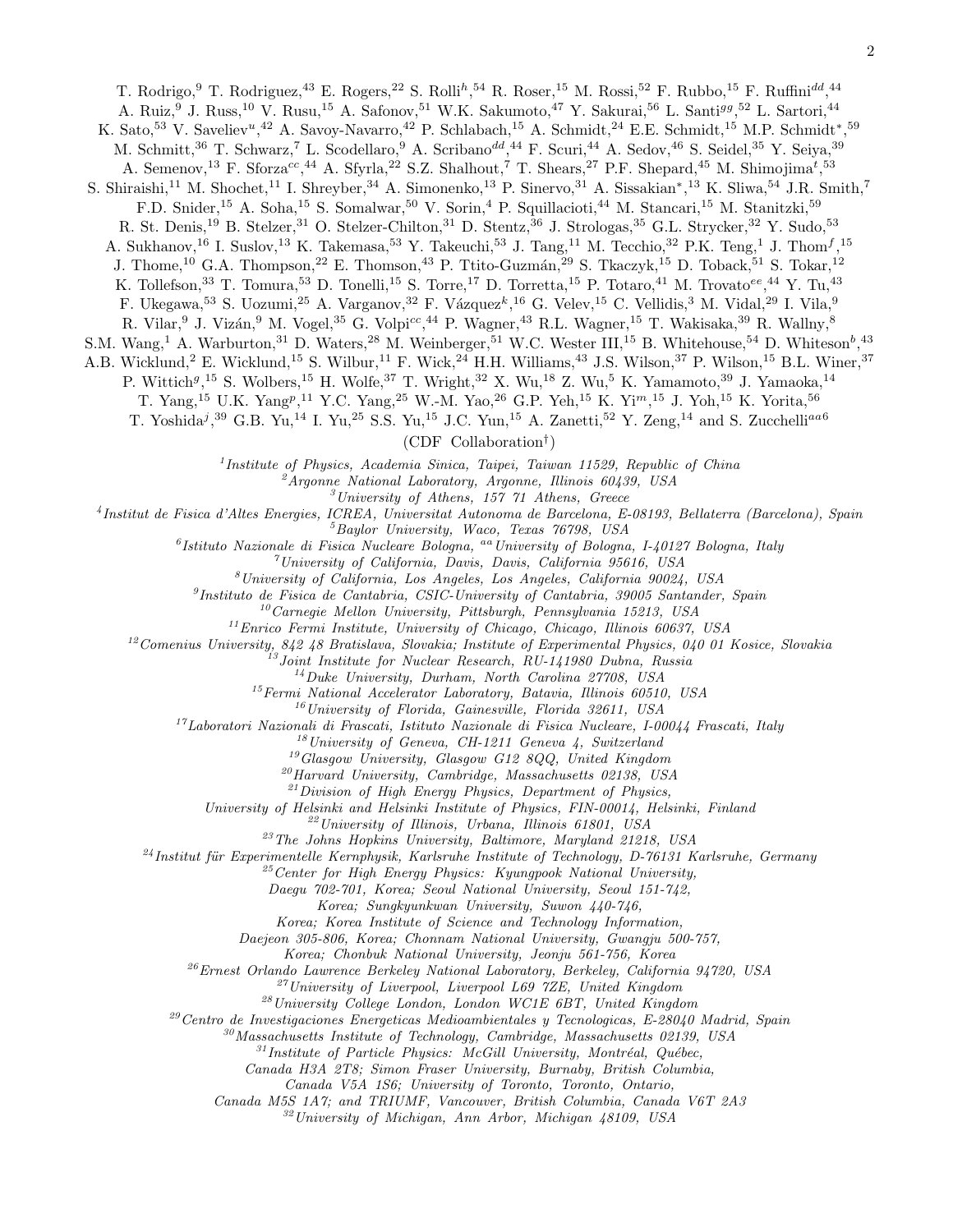T. Rodrigo, <sup>9</sup> T. Rodriguez, <sup>43</sup> E. Rogers, <sup>22</sup> S. Rolli<sup>h</sup>, <sup>54</sup> R. Roser, <sup>15</sup> M. Rossi, <sup>52</sup> F. Rubbo, <sup>15</sup> F. Ruffini<sup>dd</sup>, <sup>44</sup>

A. Ruiz, <sup>9</sup> J. Russ, <sup>10</sup> V. Rusu, <sup>15</sup> A. Safonov, <sup>51</sup> W.K. Sakumoto, <sup>47</sup> Y. Sakurai, <sup>56</sup> L. Santi<sup>gg</sup>, <sup>52</sup> L. Sartori, <sup>44</sup>

K. Sato,<sup>53</sup> V. Saveliev<sup>u</sup>,<sup>42</sup> A. Savoy-Navarro,<sup>42</sup> P. Schlabach,<sup>15</sup> A. Schmidt,<sup>24</sup> E.E. Schmidt,<sup>15</sup> M.P. Schmidt<sup>\*</sup>,<sup>59</sup>

M. Schmitt,<sup>36</sup> T. Schwarz,<sup>7</sup> L. Scodellaro,<sup>9</sup> A. Scribano<sup>dd</sup>,<sup>44</sup> F. Scuri,<sup>44</sup> A. Sedov,<sup>46</sup> S. Seidel,<sup>35</sup> Y. Seiya,<sup>39</sup>

A. Semenov,<sup>13</sup> F. Sforza<sup>cc</sup>,<sup>44</sup> A. Sfyrla,<sup>22</sup> S.Z. Shalhout,<sup>7</sup> T. Shears,<sup>27</sup> P.F. Shepard,<sup>45</sup> M. Shimojima<sup>t</sup>,<sup>53</sup>

S. Shiraishi,<sup>11</sup> M. Shochet,<sup>11</sup> I. Shreyber,<sup>34</sup> A. Simonenko,<sup>13</sup> P. Sinervo,<sup>31</sup> A. Sissakian<sup>\*</sup>,<sup>13</sup> K. Sliwa,<sup>54</sup> J.R. Smith,<sup>7</sup>

F.D. Snider,<sup>15</sup> A. Soha,<sup>15</sup> S. Somalwar,<sup>50</sup> V. Sorin,<sup>4</sup> P. Squillacioti,<sup>44</sup> M. Stancari,<sup>15</sup> M. Stanitzki,<sup>59</sup>

R. St. Denis,<sup>19</sup> B. Stelzer,<sup>31</sup> O. Stelzer-Chilton,<sup>31</sup> D. Stentz,<sup>36</sup> J. Strologas,<sup>35</sup> G.L. Strycker,<sup>32</sup> Y. Sudo,<sup>53</sup>

A. Sukhanov,<sup>16</sup> I. Suslov,<sup>13</sup> K. Takemasa,<sup>53</sup> Y. Takeuchi,<sup>53</sup> J. Tang,<sup>11</sup> M. Tecchio,<sup>32</sup> P.K. Teng,<sup>1</sup> J. Thom<sup>f</sup>,<sup>15</sup>

J. Thome,<sup>10</sup> G.A. Thompson,<sup>22</sup> E. Thomson,<sup>43</sup> P. Ttito-Guzmán,<sup>29</sup> S. Tkaczyk,<sup>15</sup> D. Toback,<sup>51</sup> S. Tokar,<sup>12</sup>

K. Tollefson,<sup>33</sup> T. Tomura,<sup>53</sup> D. Tonelli,<sup>15</sup> S. Torre,<sup>17</sup> D. Torretta,<sup>15</sup> P. Totaro,<sup>41</sup> M. Trovato<sup>ee</sup>,<sup>44</sup> Y. Tu,<sup>43</sup>

F. Ukegawa,<sup>53</sup> S. Uozumi,<sup>25</sup> A. Varganov,<sup>32</sup> F. Vázquez<sup>k</sup>,<sup>16</sup> G. Velev,<sup>15</sup> C. Vellidis,<sup>3</sup> M. Vidal,<sup>29</sup> I. Vila,<sup>9</sup>

R. Vilar,  $9$  J. Vizán,  $9$  M. Vogel,  $35$  G. Volpi<sup>cc</sup>,  $44$  P. Wagner,  $43$  R.L. Wagner,  $15$  T. Wakisaka,  $39$  R. Wallny,  $8$ 

S.M. Wang,<sup>1</sup> A. Warburton,<sup>31</sup> D. Waters,<sup>28</sup> M. Weinberger,<sup>51</sup> W.C. Wester III,<sup>15</sup> B. Whitehouse,<sup>54</sup> D. Whiteson<sup>b</sup>,<sup>43</sup>

A.B. Wicklund,<sup>2</sup> E. Wicklund,<sup>15</sup> S. Wilbur,<sup>11</sup> F. Wick,<sup>24</sup> H.H. Williams,<sup>43</sup> J.S. Wilson,<sup>37</sup> P. Wilson,<sup>15</sup> B.L. Winer,<sup>37</sup>

P. Wittich<sup>g<sub>, 15</sub> S. Wolbers, <sup>15</sup> H. Wolfe, <sup>37</sup> T. Wright, <sup>32</sup> X. Wu, <sup>18</sup> Z. Wu, <sup>5</sup> K. Yamamoto, <sup>39</sup> J. Yamaoka, <sup>14</sup></sup>

T. Yang,<sup>15</sup> U.K. Yang<sup>p</sup>,<sup>11</sup> Y.C. Yang,<sup>25</sup> W.-M. Yao,<sup>26</sup> G.P. Yeh,<sup>15</sup> K. Yi<sup>m</sup>,<sup>15</sup> J. Yoh,<sup>15</sup> K. Yorita,<sup>56</sup>

T. Yoshida<sup>j</sup>,<sup>39</sup> G.B. Yu,<sup>14</sup> I. Yu,<sup>25</sup> S.S. Yu,<sup>15</sup> J.C. Yun,<sup>15</sup> A. Zanetti,<sup>52</sup> Y. Zeng,<sup>14</sup> and S. Zucchelli<sup>aa6</sup>

(CDF Collaboration† )

<sup>1</sup>Institute of Physics, Academia Sinica, Taipei, Taiwan 11529, Republic of China

 $^2$ Argonne National Laboratory, Argonne, Illinois 60439, USA

 $3$ University of Athens, 157 71 Athens, Greece

4 Institut de Fisica d'Altes Energies, ICREA, Universitat Autonoma de Barcelona, E-08193, Bellaterra (Barcelona), Spain

 ${}^{5}$ Baylor University, Waco, Texas  $76798$ , USA

<sup>6</sup> Istituto Nazionale di Fisica Nucleare Bologna, <sup>aa</sup> University of Bologna, I-40127 Bologna, Italy

 $^7$ University of California, Davis, Davis, California 95616, USA

 ${}^{8}$ University of California, Los Angeles, Los Angeles, California 90024, USA

<sup>9</sup>Instituto de Fisica de Cantabria, CSIC-University of Cantabria, 39005 Santander, Spain

 $10$ Carnegie Mellon University, Pittsburgh, Pennsylvania 15213, USA

<sup>11</sup>Enrico Fermi Institute, University of Chicago, Chicago, Illinois 60637, USA

 $12$ Comenius University, 842 48 Bratislava, Slovakia; Institute of Experimental Physics, 040 01 Kosice, Slovakia

 $13$ Joint Institute for Nuclear Research, RU-141980 Dubna, Russia

<sup>14</sup>Duke University, Durham, North Carolina 27708, USA

 $15$ Fermi National Accelerator Laboratory, Batavia, Illinois 60510, USA

 $16$ University of Florida, Gainesville, Florida 32611, USA

 $17$ Laboratori Nazionali di Frascati, Istituto Nazionale di Fisica Nucleare, I-00044 Frascati, Italy

 $18$ University of Geneva, CH-1211 Geneva 4, Switzerland

 $^{19}G$ lasgow University, Glasgow G12 8QQ, United Kingdom

 $^{20}$ Harvard University, Cambridge, Massachusetts 02138, USA

 $^{21}$ Division of High Energy Physics, Department of Physics,

University of Helsinki and Helsinki Institute of Physics, FIN-00014, Helsinki, Finland

 $22$ University of Illinois, Urbana, Illinois 61801, USA

 $^{23}$ The Johns Hopkins University, Baltimore, Maryland 21218, USA

 $^{24}$ Institut für Experimentelle Kernphysik, Karlsruhe Institute of Technology, D-76131 Karlsruhe, Germany

 $^{25}$ Center for High Energy Physics: Kyungpook National University,

Daegu 702-701, Korea; Seoul National University, Seoul 151-742,

Korea; Sungkyunkwan University, Suwon 440-746,

Korea; Korea Institute of Science and Technology Information,

Daejeon 305-806, Korea; Chonnam National University, Gwangju 500-757,

Korea; Chonbuk National University, Jeonju 561-756, Korea

<sup>26</sup>Ernest Orlando Lawrence Berkeley National Laboratory, Berkeley, California 94720, USA

 $^{27}$ University of Liverpool, Liverpool L69 7ZE, United Kingdom

 $^{28}$ University College London, London WC1E 6BT, United Kingdom

 $29$ Centro de Investigaciones Energeticas Medioambientales y Tecnologicas, E-28040 Madrid, Spain

 $30$ Massachusetts Institute of Technology, Cambridge, Massachusetts 02139, USA

 $31$ Institute of Particle Physics: McGill University, Montréal, Québec,

Canada H3A 2T8; Simon Fraser University, Burnaby, British Columbia,

Canada V5A 1S6; University of Toronto, Toronto, Ontario,

Canada M5S 1A7; and TRIUMF, Vancouver, British Columbia, Canada V6T 2A3

<sup>32</sup>University of Michigan, Ann Arbor, Michigan 48109, USA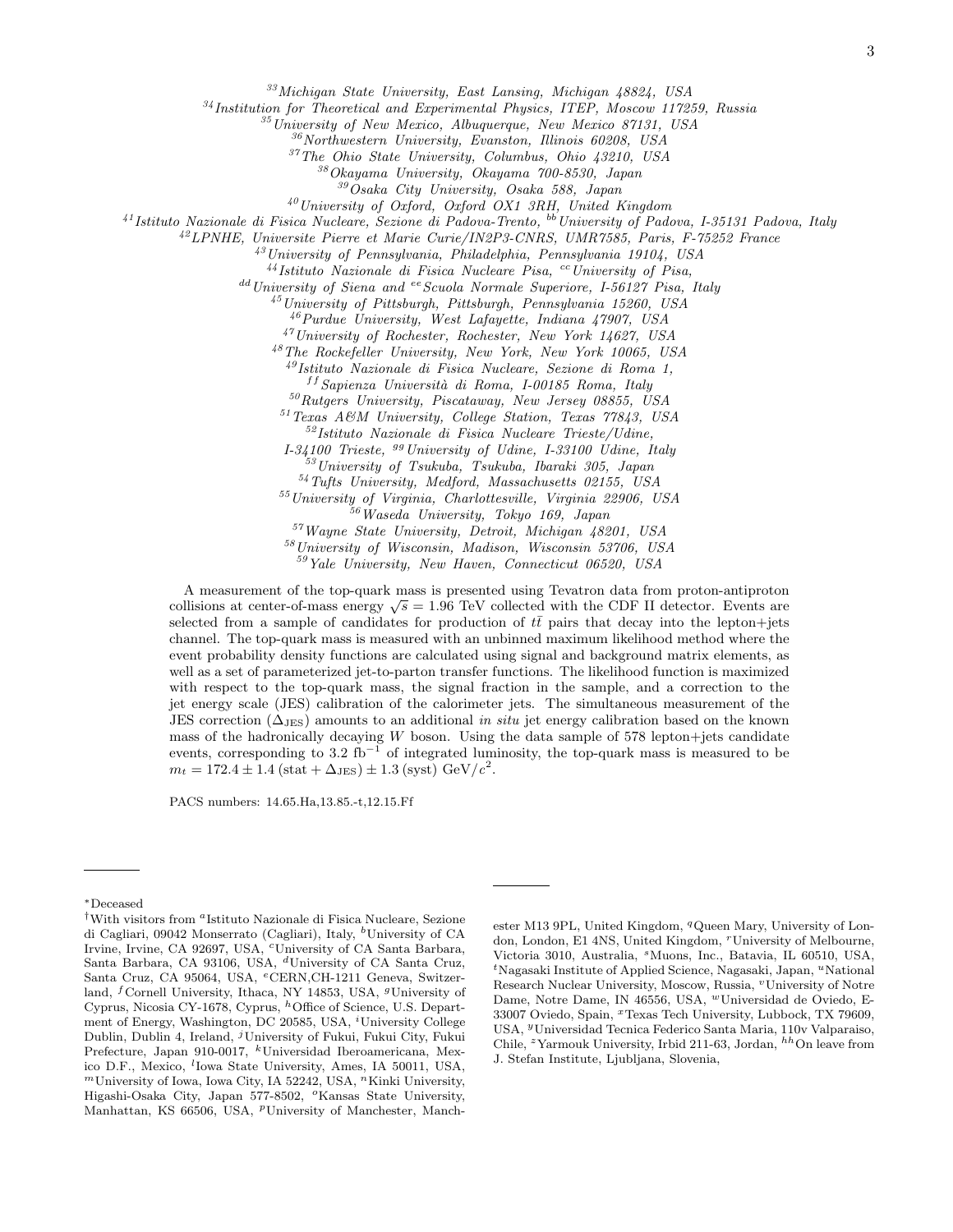<sup>33</sup>Michigan State University, East Lansing, Michigan 48824, USA

 $34$ Institution for Theoretical and Experimental Physics, ITEP, Moscow 117259, Russia

<sup>35</sup>University of New Mexico, Albuquerque, New Mexico 87131, USA

 $36$ Northwestern University, Evanston, Illinois 60208, USA

<sup>37</sup>The Ohio State University, Columbus, Ohio 43210, USA

 $80$ kayama University, Okayama  $700-8530$ , Japan

 $39\text{Osaka}$  City University, Osaka 588, Japan

<sup>40</sup>University of Oxford, Oxford OX1 3RH, United Kingdom

 $^{41}$ Istituto Nazionale di Fisica Nucleare, Sezione di Padova-Trento,  $^{bb}$ University of Padova, I-35131 Padova, Italy

<sup>42</sup>LPNHE, Universite Pierre et Marie Curie/IN2P3-CNRS, UMR7585, Paris, F-75252 France

 $^{43}$ University of Pennsylvania, Philadelphia, Pennsylvania 19104, USA

 $^{44}$ Istituto Nazionale di Fisica Nucleare Pisa, <sup>cc</sup>University of Pisa,

 $^{dd}$  University of Siena and  $^{ee}$  Scuola Normale Superiore, I-56127 Pisa, Italy

 $^{45}$ University of Pittsburgh, Pittsburgh, Pennsylvania 15260, USA

<sup>46</sup>Purdue University, West Lafayette, Indiana 47907, USA

<sup>47</sup>University of Rochester, Rochester, New York 14627, USA

<sup>48</sup>The Rockefeller University, New York, New York 10065, USA

<sup>49</sup>Istituto Nazionale di Fisica Nucleare, Sezione di Roma 1,

 $f$ <sup>ff</sup> Sapienza Università di Roma, I-00185 Roma, Italy

<sup>50</sup>Rutgers University, Piscataway, New Jersey 08855, USA

<sup>51</sup>Texas A&M University, College Station, Texas 77843, USA

<sup>52</sup>Istituto Nazionale di Fisica Nucleare Trieste/Udine,

 $I-34100$  Trieste,  $99$  University of Udine,  $I-33100$  Udine, Italy

<sup>53</sup>University of Tsukuba, Tsukuba, Ibaraki 305, Japan

<sup>54</sup>Tufts University, Medford, Massachusetts 02155, USA

<sup>55</sup>University of Virginia, Charlottesville, Virginia 22906, USA <sup>56</sup>Waseda University, Tokyo 169, Japan

<sup>57</sup>Wayne State University, Detroit, Michigan 48201, USA

<sup>58</sup>University of Wisconsin, Madison, Wisconsin 53706, USA

<sup>59</sup>Yale University, New Haven, Connecticut 06520, USA

A measurement of the top-quark mass is presented using Tevatron data from proton-antiproton A measurement of the top-quark mass is presented using Tevatron data from proton-antiproton collisions at center-of-mass energy  $\sqrt{s} = 1.96$  TeV collected with the CDF II detector. Events are selected from a sample of candidates for production of  $t\bar{t}$  pairs that decay into the lepton+jets channel. The top-quark mass is measured with an unbinned maximum likelihood method where the event probability density functions are calculated using signal and background matrix elements, as well as a set of parameterized jet-to-parton transfer functions. The likelihood function is maximized with respect to the top-quark mass, the signal fraction in the sample, and a correction to the jet energy scale (JES) calibration of the calorimeter jets. The simultaneous measurement of the JES correction ( $\Delta_{\text{JES}}$ ) amounts to an additional in situ jet energy calibration based on the known mass of the hadronically decaying  $W$  boson. Using the data sample of 578 lepton+jets candidate events, corresponding to 3.2 fb<sup>-1</sup> of integrated luminosity, the top-quark mass is measured to be  $m_t = 172.4 \pm 1.4 \, (\text{stat} + \Delta_{\text{JES}}) \pm 1.3 \, (\text{syst}) \, \text{GeV}/c^2.$ 

PACS numbers: 14.65.Ha,13.85.-t,12.15.Ff

<sup>∗</sup>Deceased

<sup>&</sup>lt;sup>†</sup>With visitors from <sup>a</sup>Istituto Nazionale di Fisica Nucleare, Sezione di Cagliari, 09042 Monserrato (Cagliari), Italy, <sup>b</sup>University of CA Irvine, Irvine, CA 92697, USA, <sup>c</sup>University of CA Santa Barbara, Santa Barbara, CA 93106, USA, <sup>d</sup>University of CA Santa Cruz, Santa Cruz, CA 95064, USA, <sup>e</sup>CERN,CH-1211 Geneva, Switzerland, <sup>f</sup>Cornell University, Ithaca, NY 14853, USA, <sup>g</sup>University of Cyprus, Nicosia CY-1678, Cyprus, <sup>h</sup>Office of Science, U.S. Department of Energy, Washington, DC 20585, USA, <sup>*i*</sup>University College Dublin, Dublin 4, Ireland, <sup>j</sup>University of Fukui, Fukui City, Fukui Prefecture, Japan 910-0017, <sup>k</sup>Universidad Iberoamericana, Mexico D.F., Mexico, <sup>l</sup>Iowa State University, Ames, IA 50011, USA,  $<sup>m</sup>$ University of Iowa, Iowa City, IA 52242, USA,  $<sup>n</sup>$ Kinki University,</sup></sup> Higashi-Osaka City, Japan 577-8502, °Kansas State University, Manhattan, KS 66506, USA, <sup>*p*</sup>University of Manchester, Manch-

ester M13 9PL, United Kingdom, <sup>q</sup>Queen Mary, University of London, London, E1 4NS, United Kingdom, <sup>r</sup>University of Melbourne, Victoria 3010, Australia, <sup>s</sup>Muons, Inc., Batavia, IL 60510, USA,  ${}^t$ Nagasaki Institute of Applied Science, Nagasaki, Japan,  ${}^u$ National Research Nuclear University, Moscow, Russia, "University of Notre Dame, Notre Dame, IN 46556, USA, <sup>w</sup>Universidad de Oviedo, E-33007 Oviedo, Spain, <sup>x</sup>Texas Tech University, Lubbock, TX 79609, USA, <sup>y</sup>Universidad Tecnica Federico Santa Maria, 110v Valparaiso, Chile, <sup>z</sup>Yarmouk University, Irbid 211-63, Jordan,  $^{hh}$ On leave from J. Stefan Institute, Ljubljana, Slovenia,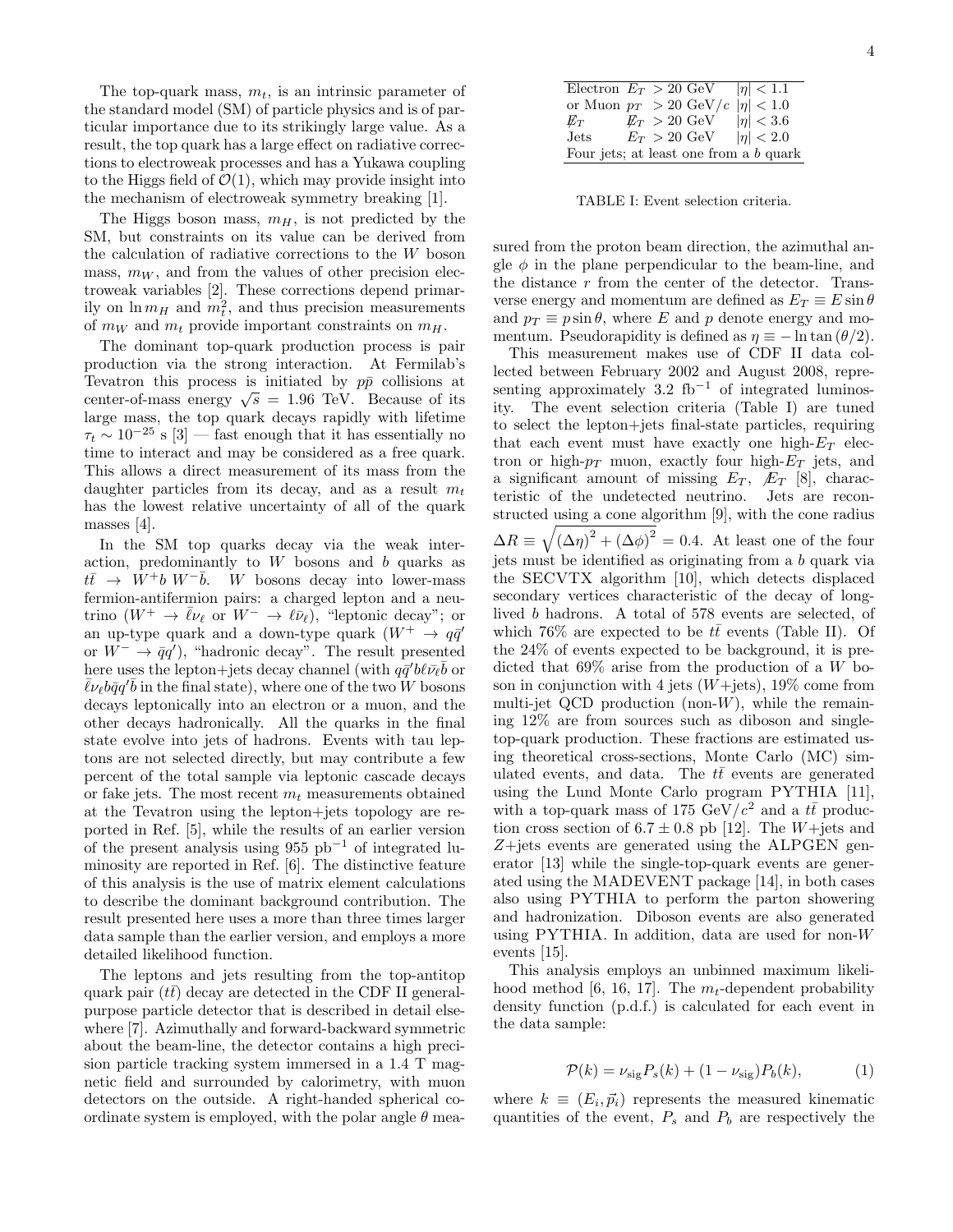The top-quark mass,  $m_t$ , is an intrinsic parameter of the standard model (SM) of particle physics and is of particular importance due to its strikingly large value. As a result, the top quark has a large effect on radiative corrections to electroweak processes and has a Yukawa coupling to the Higgs field of  $\mathcal{O}(1)$ , which may provide insight into the mechanism of electroweak symmetry breaking [1].

The Higgs boson mass,  $m_H$ , is not predicted by the SM, but constraints on its value can be derived from the calculation of radiative corrections to the W boson mass,  $m_W$ , and from the values of other precision electroweak variables [2]. These corrections depend primarily on  $\ln m_H$  and  $m_t^2$ , and thus precision measurements of  $m_W$  and  $m_t$  provide important constraints on  $m_H$ .

The dominant top-quark production process is pair production via the strong interaction. At Fermilab's Tevatron this process is initiated by  $p\bar{p}$  collisions at center-of-mass energy  $\sqrt{s} = 1.96$  TeV. Because of its large mass, the top quark decays rapidly with lifetime  $\tau_t \sim 10^{-25}$  s [3] — fast enough that it has essentially no time to interact and may be considered as a free quark. This allows a direct measurement of its mass from the daughter particles from its decay, and as a result  $m_t$ has the lowest relative uncertainty of all of the quark masses [4].

In the SM top quarks decay via the weak interaction, predominantly to  $W$  bosons and  $b$  quarks as  $t\bar{t} \rightarrow W^+b W^-\bar{b}$ . W bosons decay into lower-mass fermion-antifermion pairs: a charged lepton and a neutrino  $(W^+ \to \bar{\ell} \nu_\ell \text{ or } W^- \to \ell \bar{\nu}_\ell)$ , "leptonic decay"; or an up-type quark and a down-type quark  $(W^+ \rightarrow q\bar{q}')$ or  $W^- \to \bar{q}q'$ , "hadronic decay". The result presented here uses the lepton+jets decay channel (with  $q\bar{q}'b\ell\bar{\nu}_\ell\bar{b}$  or  $\bar{\ell}\nu_{\ell}$ *b* $\bar{q}q'\bar{b}$  in the final state), where one of the two W bosons decays leptonically into an electron or a muon, and the other decays hadronically. All the quarks in the final state evolve into jets of hadrons. Events with tau leptons are not selected directly, but may contribute a few percent of the total sample via leptonic cascade decays or fake jets. The most recent  $m_t$  measurements obtained at the Tevatron using the lepton+jets topology are reported in Ref. [5], while the results of an earlier version of the present analysis using 955  $pb^{-1}$  of integrated luminosity are reported in Ref. [6]. The distinctive feature of this analysis is the use of matrix element calculations to describe the dominant background contribution. The result presented here uses a more than three times larger data sample than the earlier version, and employs a more detailed likelihood function.

The leptons and jets resulting from the top-antitop quark pair  $(t\bar{t})$  decay are detected in the CDF II generalpurpose particle detector that is described in detail elsewhere [7]. Azimuthally and forward-backward symmetric about the beam-line, the detector contains a high precision particle tracking system immersed in a 1.4 T magnetic field and surrounded by calorimetry, with muon detectors on the outside. A right-handed spherical coordinate system is employed, with the polar angle  $\theta$  mea-

| Electron $E_T > 20$ GeV $ \eta  < 1.1$                |  |  |                                              |                                       |  |
|-------------------------------------------------------|--|--|----------------------------------------------|---------------------------------------|--|
| or Muon $p_T > 20 \text{ GeV}/c \mid \eta \mid < 1.0$ |  |  |                                              |                                       |  |
| $E_T$                                                 |  |  | $\not\hspace{-1.2mm}E_{T} > 20~\mathrm{GeV}$ | $ \eta  < 3.6$                        |  |
| $_{\rm{Jets}}$                                        |  |  |                                              | $E_T > 20 \text{ GeV}$ $ \eta  < 2.0$ |  |
| Four jets; at least one from a b quark                |  |  |                                              |                                       |  |

TABLE I: Event selection criteria.

sured from the proton beam direction, the azimuthal angle  $\phi$  in the plane perpendicular to the beam-line, and the distance r from the center of the detector. Transverse energy and momentum are defined as  $E_T \equiv E \sin \theta$ and  $p_T \equiv p \sin \theta$ , where E and p denote energy and momentum. Pseudorapidity is defined as  $\eta \equiv -\ln \tan (\theta/2)$ .

This measurement makes use of CDF II data collected between February 2002 and August 2008, representing approximately  $3.2 \text{ fb}^{-1}$  of integrated luminosity. The event selection criteria (Table I) are tuned to select the lepton+jets final-state particles, requiring that each event must have exactly one high- $E_T$  electron or high- $p_T$  muon, exactly four high- $E_T$  jets, and a significant amount of missing  $E_T$ ,  $\mathcal{F}_T$  [8], characteristic of the undetected neutrino. Jets are reconstructed using a cone algorithm [9], with the cone radius  $\Delta R \equiv \sqrt{(\Delta \eta)^2 + (\Delta \phi)^2} = 0.4$ . At least one of the four jets must be identified as originating from a b quark via the SECVTX algorithm [10], which detects displaced secondary vertices characteristic of the decay of longlived b hadrons. A total of 578 events are selected, of which 76% are expected to be  $t\bar{t}$  events (Table II). Of the 24% of events expected to be background, it is predicted that  $69\%$  arise from the production of a W boson in conjunction with 4 jets  $(W+{\text{jets}})$ , 19% come from multi-jet QCD production (non- $W$ ), while the remaining 12% are from sources such as diboson and singletop-quark production. These fractions are estimated using theoretical cross-sections, Monte Carlo (MC) simulated events, and data. The  $t\bar{t}$  events are generated using the Lund Monte Carlo program PYTHIA [11], with a top-quark mass of 175 GeV/ $c^2$  and a tt production cross section of  $6.7 \pm 0.8$  pb [12]. The W+jets and  $Z + jets$  events are generated using the ALPGEN generator [13] while the single-top-quark events are generated using the MADEVENT package [14], in both cases also using PYTHIA to perform the parton showering and hadronization. Diboson events are also generated using PYTHIA. In addition, data are used for non-W events [15].

This analysis employs an unbinned maximum likelihood method [6, 16, 17]. The  $m_t$ -dependent probability density function (p.d.f.) is calculated for each event in the data sample:

$$
\mathcal{P}(k) = \nu_{\text{sig}} P_s(k) + (1 - \nu_{\text{sig}}) P_b(k),\tag{1}
$$

where  $k \equiv (E_i, \vec{p}_i)$  represents the measured kinematic quantities of the event,  $P_s$  and  $P_b$  are respectively the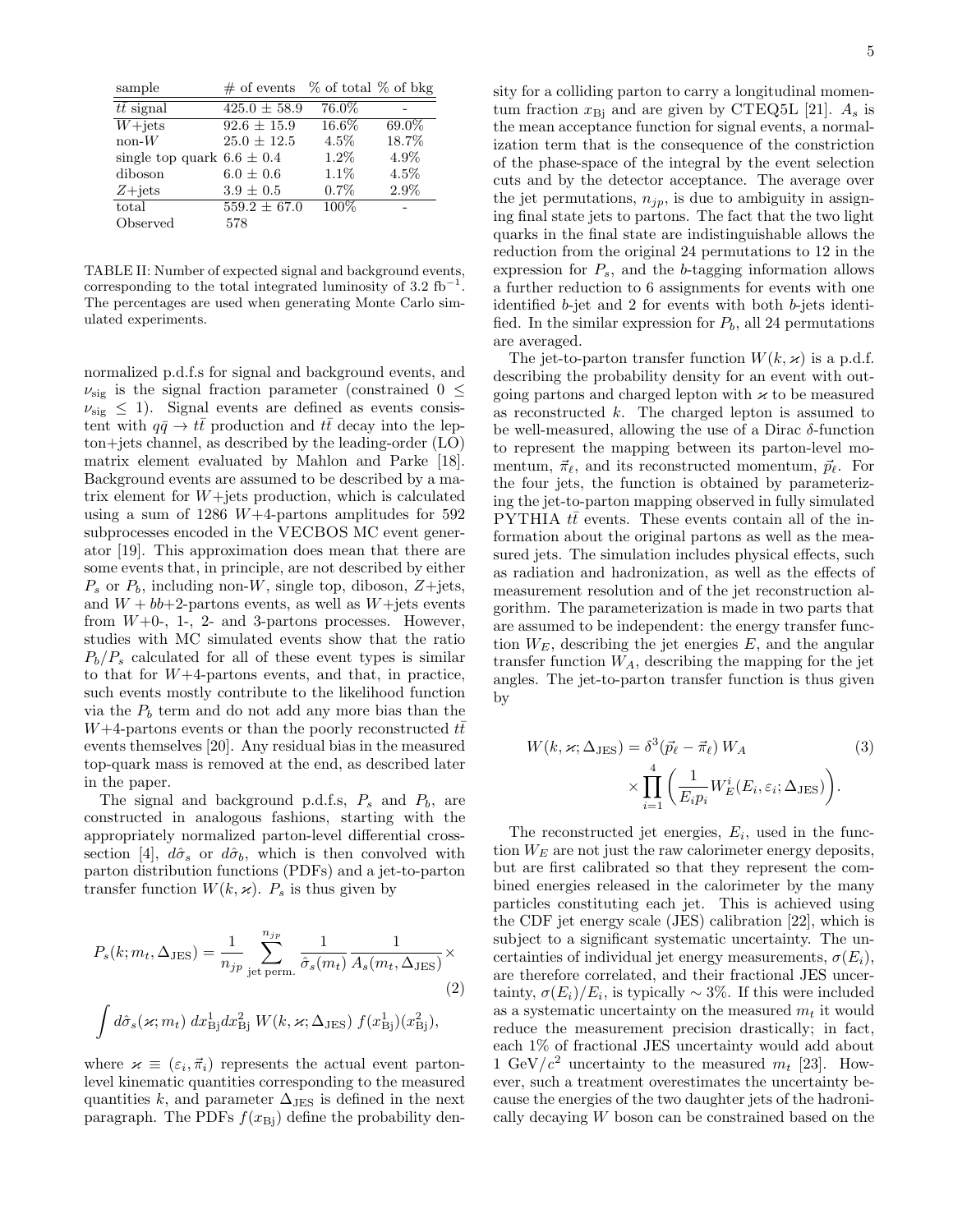| sample                         | $\#$ of events $\%$ of total $\%$ of bkg |         |         |
|--------------------------------|------------------------------------------|---------|---------|
| $t\bar{t}$ signal              | $425.0 \pm 58.9$                         | 76.0%   |         |
| $W+{\rm jets}$                 | $92.6 \pm 15.9$                          | 16.6%   | 69.0%   |
| $non-W$                        | $25.0 \pm 12.5$                          | $4.5\%$ | 18.7%   |
| single top quark $6.6 \pm 0.4$ |                                          | $1.2\%$ | 4.9%    |
| diboson                        | $6.0 \pm 0.6$                            | $1.1\%$ | $4.5\%$ |
| $Z + jets$                     | $3.9 \pm 0.5$                            | $0.7\%$ | 2.9%    |
| total                          | $559.2 \pm 67.0$                         | $100\%$ |         |
| Observed                       | 578                                      |         |         |

TABLE II: Number of expected signal and background events, corresponding to the total integrated luminosity of  $3.2 \text{ fb}^{-1}$ . The percentages are used when generating Monte Carlo simulated experiments.

normalized p.d.f.s for signal and background events, and  $\nu_{\text{sig}}$  is the signal fraction parameter (constrained  $0 \leq$  $\nu_{\text{sig}} \leq 1$ ). Signal events are defined as events consistent with  $q\bar{q} \to t\bar{t}$  production and  $t\bar{t}$  decay into the lepton+jets channel, as described by the leading-order (LO) matrix element evaluated by Mahlon and Parke [18]. Background events are assumed to be described by a matrix element for  $W +$ jets production, which is calculated using a sum of  $1286 \ W+4$ -partons amplitudes for  $592$ subprocesses encoded in the VECBOS MC event generator [19]. This approximation does mean that there are some events that, in principle, are not described by either  $P_s$  or  $P_b$ , including non-W, single top, diboson, Z+jets, and  $W + bb + 2$ -partons events, as well as  $W + \text{jets}$  events from  $W+0$ -, 1-, 2- and 3-partons processes. However, studies with MC simulated events show that the ratio  $P_b/P_s$  calculated for all of these event types is similar to that for  $W+4$ -partons events, and that, in practice, such events mostly contribute to the likelihood function via the  $P_b$  term and do not add any more bias than the W+4-partons events or than the poorly reconstructed  $t\bar{t}$ events themselves [20]. Any residual bias in the measured top-quark mass is removed at the end, as described later in the paper.

The signal and background p.d.f.s,  $P_s$  and  $P_b$ , are constructed in analogous fashions, starting with the appropriately normalized parton-level differential crosssection [4],  $d\hat{\sigma}_s$  or  $d\hat{\sigma}_b$ , which is then convolved with parton distribution functions (PDFs) and a jet-to-parton transfer function  $W(k, \varkappa)$ .  $P_s$  is thus given by

$$
P_s(k; m_t, \Delta_{\text{JES}}) = \frac{1}{n_{jp}} \sum_{\text{jet perm.}}^{n_{jp}} \frac{1}{\hat{\sigma}_s(m_t)} \frac{1}{A_s(m_t, \Delta_{\text{JES}})} \times
$$
  
(2)  

$$
\int d\hat{\sigma}_s(\varkappa; m_t) dx_{\text{Bj}}^1 dx_{\text{Bj}}^2 W(k, \varkappa; \Delta_{\text{JES}}) f(x_{\text{Bj}}^1)(x_{\text{Bj}}^2),
$$

where  $\varkappa \equiv (\varepsilon_i, \vec{\pi}_i)$  represents the actual event partonlevel kinematic quantities corresponding to the measured quantities k, and parameter  $\Delta_{\text{JES}}$  is defined in the next paragraph. The PDFs  $f(x_{\text{Bj}})$  define the probability density for a colliding parton to carry a longitudinal momentum fraction  $x_{\text{Bi}}$  and are given by CTEQ5L [21].  $A_s$  is the mean acceptance function for signal events, a normalization term that is the consequence of the constriction of the phase-space of the integral by the event selection cuts and by the detector acceptance. The average over the jet permutations,  $n_{jp}$ , is due to ambiguity in assigning final state jets to partons. The fact that the two light quarks in the final state are indistinguishable allows the reduction from the original 24 permutations to 12 in the expression for  $P_s$ , and the b-tagging information allows a further reduction to 6 assignments for events with one identified b-jet and 2 for events with both b-jets identified. In the similar expression for  $P_b$ , all 24 permutations are averaged.

The jet-to-parton transfer function  $W(k, \varkappa)$  is a p.d.f. describing the probability density for an event with outgoing partons and charged lepton with  $\kappa$  to be measured as reconstructed  $k$ . The charged lepton is assumed to be well-measured, allowing the use of a Dirac  $\delta$ -function to represent the mapping between its parton-level momentum,  $\vec{\pi}_{\ell}$ , and its reconstructed momentum,  $\vec{p}_{\ell}$ . For the four jets, the function is obtained by parameterizing the jet-to-parton mapping observed in fully simulated PYTHIA  $t\bar{t}$  events. These events contain all of the information about the original partons as well as the measured jets. The simulation includes physical effects, such as radiation and hadronization, as well as the effects of measurement resolution and of the jet reconstruction algorithm. The parameterization is made in two parts that are assumed to be independent: the energy transfer function  $W_E$ , describing the jet energies E, and the angular transfer function  $W_A$ , describing the mapping for the jet angles. The jet-to-parton transfer function is thus given by

$$
W(k, \varkappa; \Delta_{\text{JES}}) = \delta^3(\vec{p}_{\ell} - \vec{\pi}_{\ell}) W_A
$$
\n
$$
\times \prod_{i=1}^4 \left( \frac{1}{E_i p_i} W_E^i(E_i, \varepsilon_i; \Delta_{\text{JES}}) \right).
$$
\n(3)

The reconstructed jet energies,  $E_i$ , used in the function  $W_E$  are not just the raw calorimeter energy deposits, but are first calibrated so that they represent the combined energies released in the calorimeter by the many particles constituting each jet. This is achieved using the CDF jet energy scale (JES) calibration [22], which is subject to a significant systematic uncertainty. The uncertainties of individual jet energy measurements,  $\sigma(E_i)$ , are therefore correlated, and their fractional JES uncertainty,  $\sigma(E_i)/E_i$ , is typically ~ 3%. If this were included as a systematic uncertainty on the measured  $m_t$  it would reduce the measurement precision drastically; in fact, each 1% of fractional JES uncertainty would add about 1 GeV/ $c^2$  uncertainty to the measured  $m_t$  [23]. However, such a treatment overestimates the uncertainty because the energies of the two daughter jets of the hadronically decaying W boson can be constrained based on the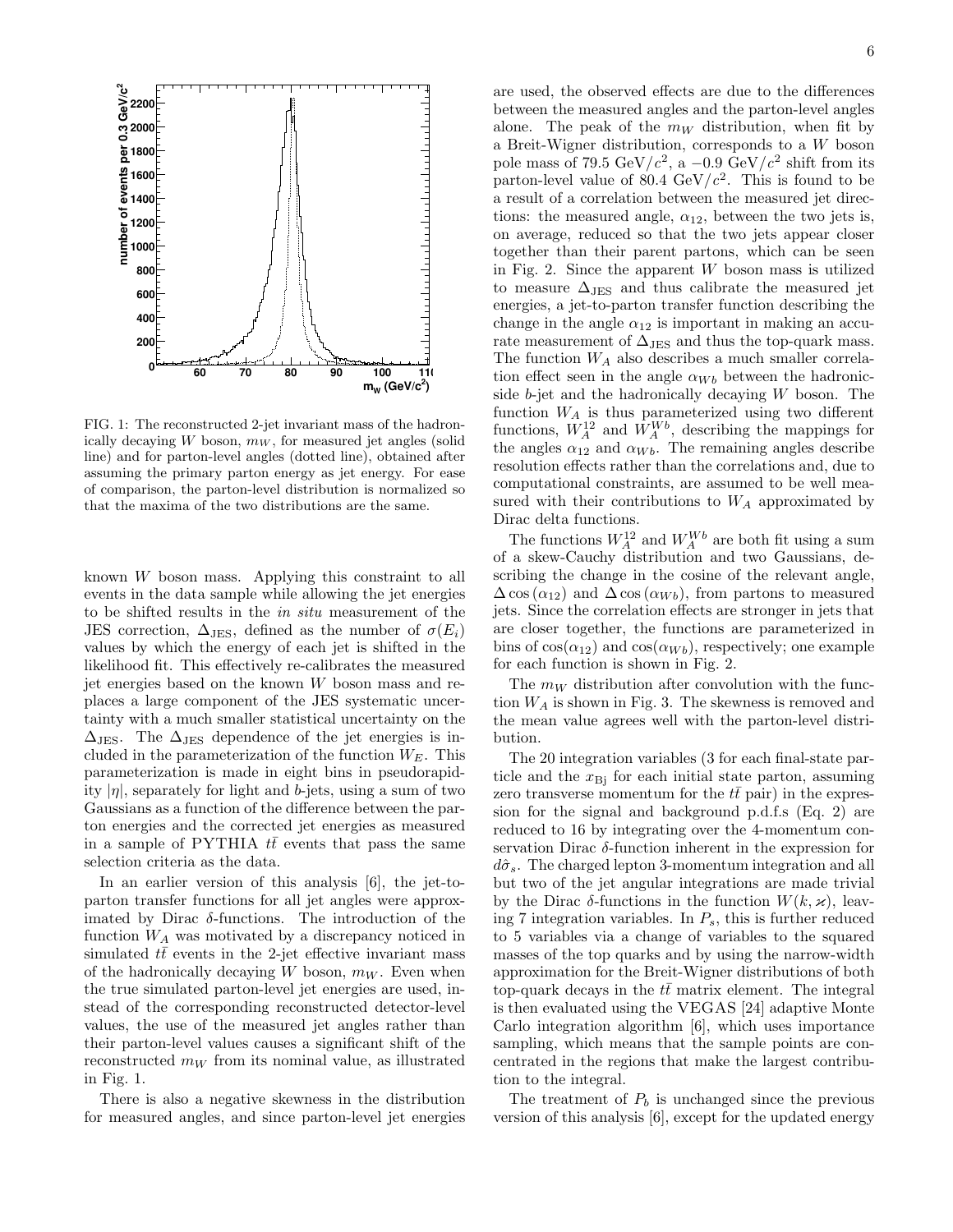

FIG. 1: The reconstructed 2-jet invariant mass of the hadronically decaying W boson,  $m_W$ , for measured jet angles (solid line) and for parton-level angles (dotted line), obtained after assuming the primary parton energy as jet energy. For ease of comparison, the parton-level distribution is normalized so that the maxima of the two distributions are the same.

known W boson mass. Applying this constraint to all events in the data sample while allowing the jet energies to be shifted results in the in situ measurement of the JES correction,  $\Delta_{JES}$ , defined as the number of  $\sigma(E_i)$ values by which the energy of each jet is shifted in the likelihood fit. This effectively re-calibrates the measured jet energies based on the known  $W$  boson mass and replaces a large component of the JES systematic uncertainty with a much smaller statistical uncertainty on the  $\Delta_{\text{JES}}$ . The  $\Delta_{\text{JES}}$  dependence of the jet energies is included in the parameterization of the function  $W_E$ . This parameterization is made in eight bins in pseudorapidity  $|\eta|$ , separately for light and b-jets, using a sum of two Gaussians as a function of the difference between the parton energies and the corrected jet energies as measured in a sample of PYTHIA  $t\bar{t}$  events that pass the same selection criteria as the data.

In an earlier version of this analysis [6], the jet-toparton transfer functions for all jet angles were approximated by Dirac  $\delta$ -functions. The introduction of the function  $W_A$  was motivated by a discrepancy noticed in simulated  $t\bar{t}$  events in the 2-jet effective invariant mass of the hadronically decaying W boson,  $m_W$ . Even when the true simulated parton-level jet energies are used, instead of the corresponding reconstructed detector-level values, the use of the measured jet angles rather than their parton-level values causes a significant shift of the reconstructed  $m_W$  from its nominal value, as illustrated in Fig. 1.

There is also a negative skewness in the distribution for measured angles, and since parton-level jet energies are used, the observed effects are due to the differences between the measured angles and the parton-level angles alone. The peak of the  $m_W$  distribution, when fit by a Breit-Wigner distribution, corresponds to a W boson pole mass of 79.5 GeV/ $c^2$ , a -0.9 GeV/ $c^2$  shift from its parton-level value of 80.4  $\text{GeV}/c^2$ . This is found to be a result of a correlation between the measured jet directions: the measured angle,  $\alpha_{12}$ , between the two jets is, on average, reduced so that the two jets appear closer together than their parent partons, which can be seen in Fig. 2. Since the apparent  $W$  boson mass is utilized to measure  $\Delta_{\mathrm{JES}}$  and thus calibrate the measured jet energies, a jet-to-parton transfer function describing the change in the angle  $\alpha_{12}$  is important in making an accurate measurement of  $\Delta_{\rm JES}$  and thus the top-quark mass. The function  $W_A$  also describes a much smaller correlation effect seen in the angle  $\alpha_{Wb}$  between the hadronicside  $b$ -jet and the hadronically decaying  $W$  boson. The function  $W_A$  is thus parameterized using two different functions,  $W_A^{12}$  and  $W_A^{Wb}$ , describing the mappings for the angles  $\alpha_{12}$  and  $\alpha_{Wb}$ . The remaining angles describe resolution effects rather than the correlations and, due to computational constraints, are assumed to be well measured with their contributions to  $W_A$  approximated by Dirac delta functions.

The functions  $W_A^{12}$  and  $W_A^{Wb}$  are both fit using a sum of a skew-Cauchy distribution and two Gaussians, describing the change in the cosine of the relevant angle,  $\Delta \cos(\alpha_{12})$  and  $\Delta \cos(\alpha_{Wb})$ , from partons to measured jets. Since the correlation effects are stronger in jets that are closer together, the functions are parameterized in bins of  $cos(\alpha_{12})$  and  $cos(\alpha_{Wb})$ , respectively; one example for each function is shown in Fig. 2.

The  $m_W$  distribution after convolution with the function  $W_A$  is shown in Fig. 3. The skewness is removed and the mean value agrees well with the parton-level distribution.

The 20 integration variables (3 for each final-state particle and the  $x_{\text{Bi}}$  for each initial state parton, assuming zero transverse momentum for the  $t\bar{t}$  pair) in the expression for the signal and background p.d.f.s (Eq. 2) are reduced to 16 by integrating over the 4-momentum conservation Dirac  $\delta$ -function inherent in the expression for  $d\hat{\sigma}_s$ . The charged lepton 3-momentum integration and all but two of the jet angular integrations are made trivial by the Dirac  $\delta$ -functions in the function  $W(k, \varkappa)$ , leaving 7 integration variables. In  $P_s$ , this is further reduced to 5 variables via a change of variables to the squared masses of the top quarks and by using the narrow-width approximation for the Breit-Wigner distributions of both top-quark decays in the  $t\bar{t}$  matrix element. The integral is then evaluated using the VEGAS [24] adaptive Monte Carlo integration algorithm [6], which uses importance sampling, which means that the sample points are concentrated in the regions that make the largest contribution to the integral.

The treatment of  $P_b$  is unchanged since the previous version of this analysis [6], except for the updated energy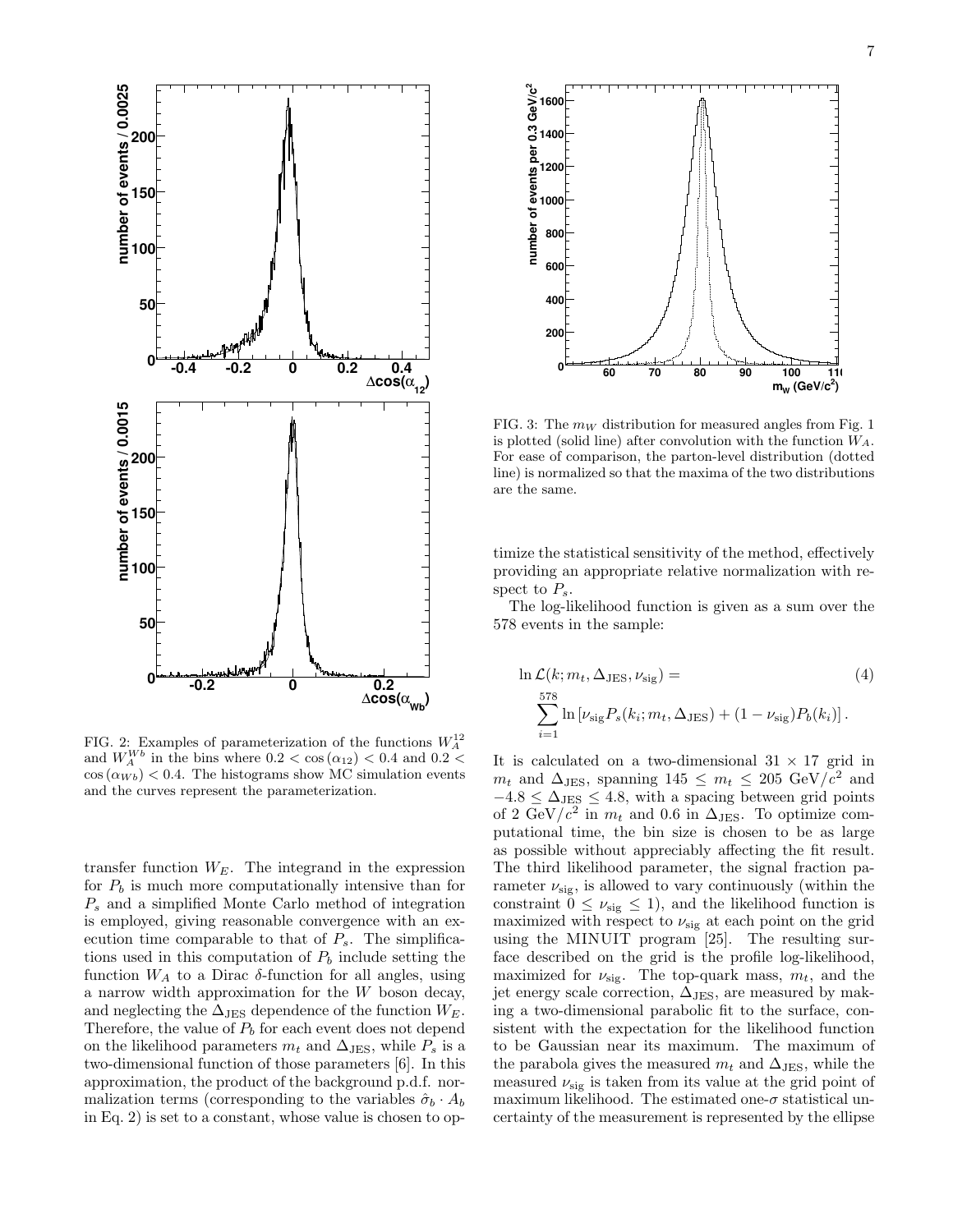

FIG. 2: Examples of parameterization of the functions  $W_A^{12}$ and  $W_A^{Wb}$  in the bins where  $0.2 < \cos(\alpha_{12}) < 0.4$  and  $0.2 <$  $\cos(\alpha_{Wb})$  < 0.4. The histograms show MC simulation events and the curves represent the parameterization.

transfer function  $W_E$ . The integrand in the expression for  $P_b$  is much more computationally intensive than for  $P<sub>s</sub>$  and a simplified Monte Carlo method of integration is employed, giving reasonable convergence with an execution time comparable to that of  $P_s$ . The simplifications used in this computation of  $P_b$  include setting the function  $W_A$  to a Dirac  $\delta$ -function for all angles, using a narrow width approximation for the W boson decay, and neglecting the  $\Delta$ JES dependence of the function  $W_E$ . Therefore, the value of  $P_b$  for each event does not depend on the likelihood parameters  $m_t$  and  $\Delta_{\text{JES}}$ , while  $P_s$  is a two-dimensional function of those parameters [6]. In this approximation, the product of the background p.d.f. normalization terms (corresponding to the variables  $\hat{\sigma}_b \cdot A_b$ in Eq. 2) is set to a constant, whose value is chosen to op-



FIG. 3: The  $m_W$  distribution for measured angles from Fig. 1 is plotted (solid line) after convolution with the function  $W_A$ . For ease of comparison, the parton-level distribution (dotted line) is normalized so that the maxima of the two distributions are the same.

timize the statistical sensitivity of the method, effectively providing an appropriate relative normalization with respect to  $P_s$ .

The log-likelihood function is given as a sum over the 578 events in the sample:

$$
\ln \mathcal{L}(k; m_t, \Delta_{\text{JES}}, \nu_{\text{sig}}) =
$$
\n
$$
\sum_{i=1}^{578} \ln \left[ \nu_{\text{sig}} P_s(k_i; m_t, \Delta_{\text{JES}}) + (1 - \nu_{\text{sig}}) P_b(k_i) \right].
$$
\n(4)

It is calculated on a two-dimensional  $31 \times 17$  grid in  $m_t$  and  $\Delta_{\text{JES}}$ , spanning  $145 \leq m_t \leq 205 \text{ GeV}/c^2$  and  $-4.8 \leq \Delta_{\text{JES}} \leq 4.8$ , with a spacing between grid points of 2 GeV/ $c^2$  in  $m_t$  and 0.6 in  $\Delta_{\text{JES}}$ . To optimize computational time, the bin size is chosen to be as large as possible without appreciably affecting the fit result. The third likelihood parameter, the signal fraction parameter  $\nu_{\text{sig}}$ , is allowed to vary continuously (within the constraint  $0 \leq \nu_{\text{sig}} \leq 1$ , and the likelihood function is maximized with respect to  $\nu_{\text{sig}}$  at each point on the grid using the MINUIT program [25]. The resulting surface described on the grid is the profile log-likelihood, maximized for  $\nu_{\text{sig}}$ . The top-quark mass,  $m_t$ , and the jet energy scale correction,  $\Delta_{\text{JES}}$ , are measured by making a two-dimensional parabolic fit to the surface, consistent with the expectation for the likelihood function to be Gaussian near its maximum. The maximum of the parabola gives the measured  $m_t$  and  $\Delta_{\text{JES}}$ , while the measured  $\nu_{\text{sig}}$  is taken from its value at the grid point of maximum likelihood. The estimated one- $\sigma$  statistical uncertainty of the measurement is represented by the ellipse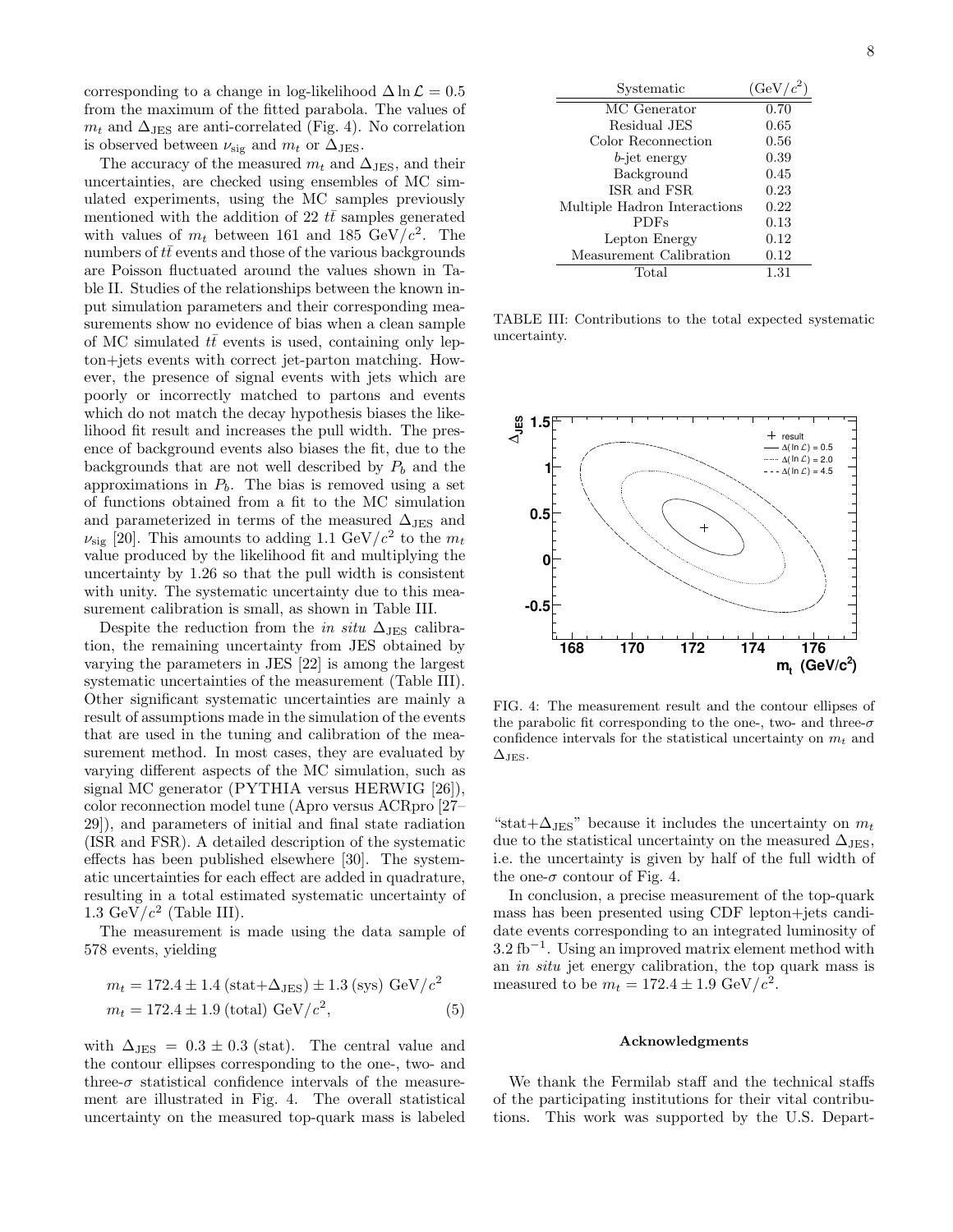corresponding to a change in log-likelihood  $\Delta \ln \mathcal{L} = 0.5$ from the maximum of the fitted parabola. The values of  $m_t$  and  $\Delta_{JES}$  are anti-correlated (Fig. 4). No correlation is observed between  $\nu_{\text{sig}}$  and  $m_t$  or  $\Delta_{\text{JES}}$ .

The accuracy of the measured  $m_t$  and  $\Delta_{JES}$ , and their uncertainties, are checked using ensembles of MC simulated experiments, using the MC samples previously mentioned with the addition of 22  $t\bar{t}$  samples generated with values of  $m_t$  between 161 and 185 GeV/ $c^2$ . The numbers of  $t\bar{t}$  events and those of the various backgrounds are Poisson fluctuated around the values shown in Table II. Studies of the relationships between the known input simulation parameters and their corresponding measurements show no evidence of bias when a clean sample of MC simulated  $t\bar{t}$  events is used, containing only lepton+jets events with correct jet-parton matching. However, the presence of signal events with jets which are poorly or incorrectly matched to partons and events which do not match the decay hypothesis biases the likelihood fit result and increases the pull width. The presence of background events also biases the fit, due to the backgrounds that are not well described by  $P_b$  and the approximations in  $P_b$ . The bias is removed using a set of functions obtained from a fit to the MC simulation and parameterized in terms of the measured  $\Delta_{\text{JES}}$  and  $\nu_{\text{sig}}$  [20]. This amounts to adding 1.1 GeV/ $c^2$  to the  $m_t$ value produced by the likelihood fit and multiplying the uncertainty by 1.26 so that the pull width is consistent with unity. The systematic uncertainty due to this measurement calibration is small, as shown in Table III.

Despite the reduction from the *in situ*  $\Delta_{\text{JES}}$  calibration, the remaining uncertainty from JES obtained by varying the parameters in JES [22] is among the largest systematic uncertainties of the measurement (Table III). Other significant systematic uncertainties are mainly a result of assumptions made in the simulation of the events that are used in the tuning and calibration of the measurement method. In most cases, they are evaluated by varying different aspects of the MC simulation, such as signal MC generator (PYTHIA versus HERWIG [26]), color reconnection model tune (Apro versus ACRpro [27– 29]), and parameters of initial and final state radiation (ISR and FSR). A detailed description of the systematic effects has been published elsewhere [30]. The systematic uncertainties for each effect are added in quadrature, resulting in a total estimated systematic uncertainty of 1.3 GeV/ $c^2$  (Table III).

The measurement is made using the data sample of 578 events, yielding

$$
m_t = 172.4 \pm 1.4 \text{ (stat+}\Delta_{\text{JES}}) \pm 1.3 \text{ (sys) GeV}/c^2
$$
  

$$
m_t = 172.4 \pm 1.9 \text{ (total) GeV}/c^2,
$$
 (5)

with  $\Delta_{\text{JES}} = 0.3 \pm 0.3$  (stat). The central value and the contour ellipses corresponding to the one-, two- and three- $\sigma$  statistical confidence intervals of the measurement are illustrated in Fig. 4. The overall statistical uncertainty on the measured top-quark mass is labeled

| Systematic                   | $(GeV/c^2)$ |
|------------------------------|-------------|
| MC Generator                 | 0.70        |
| Residual JES                 | 0.65        |
| Color Reconnection           | 0.56        |
| <i>b</i> -jet energy         | 0.39        |
| Background                   | 0.45        |
| ISR and FSR.                 | 0.23        |
| Multiple Hadron Interactions | 0.22        |
| <b>PDFs</b>                  | 0.13        |
| Lepton Energy                | 0.12        |
| Measurement Calibration      | 0.12        |
| Total                        | 1.31        |

TABLE III: Contributions to the total expected systematic uncertainty.



FIG. 4: The measurement result and the contour ellipses of the parabolic fit corresponding to the one-, two- and three- $\sigma$ confidence intervals for the statistical uncertainty on  $m_t$  and  $\Delta$ JES.

"stat+ $\Delta_{\text{JES}}$ " because it includes the uncertainty on  $m_t$ due to the statistical uncertainty on the measured  $\Delta_{JES}$ , i.e. the uncertainty is given by half of the full width of the one- $\sigma$  contour of Fig. 4.

In conclusion, a precise measurement of the top-quark mass has been presented using CDF lepton+jets candidate events corresponding to an integrated luminosity of  $3.2 \text{ fb}^{-1}$ . Using an improved matrix element method with an in situ jet energy calibration, the top quark mass is measured to be  $m_t = 172.4 \pm 1.9 \text{ GeV}/c^2$ .

#### Acknowledgments

We thank the Fermilab staff and the technical staffs of the participating institutions for their vital contributions. This work was supported by the U.S. Depart